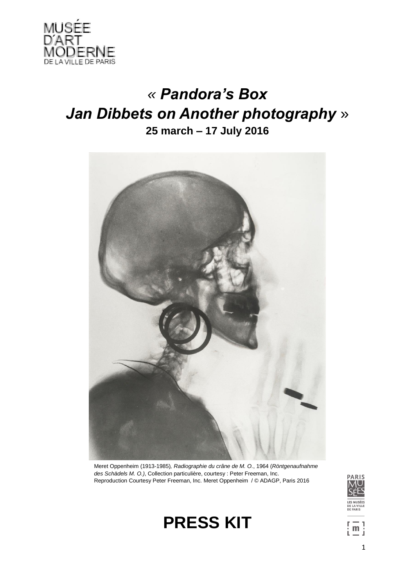

# *« Pandora's Box Jan Dibbets on Another photography* » **25 march – 17 July 2016**



Meret Oppenheim (1913-1985)*, Radiographie du crâne de M. O.*, 1964 (*Röntgenaufnahme des Schädels M. O.)*, Collection particulière, courtesy : Peter Freeman, Inc. Reproduction Courtesy Peter Freeman, Inc. Meret Oppenheim / © ADAGP, Paris 2016



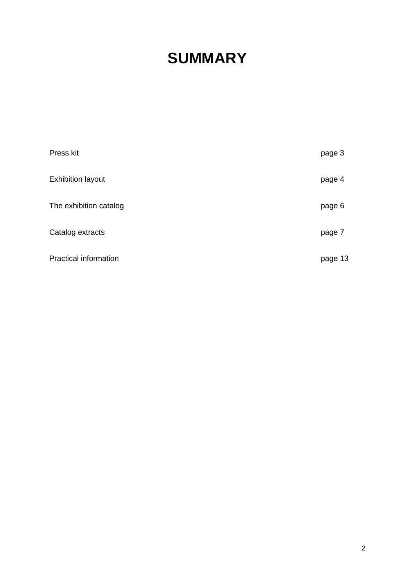# **SUMMARY**

| Press kit                    | page 3  |
|------------------------------|---------|
| <b>Exhibition layout</b>     | page 4  |
| The exhibition catalog       | page 6  |
| Catalog extracts             | page 7  |
| <b>Practical information</b> | page 13 |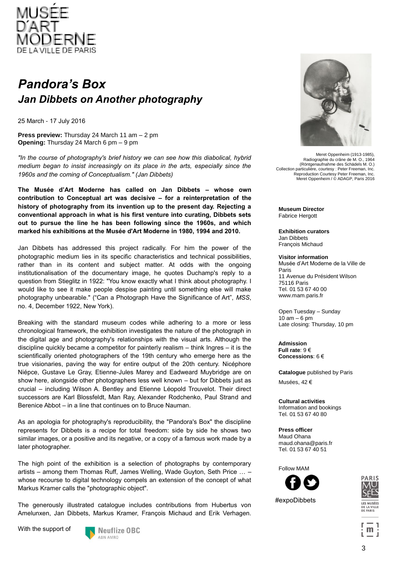

## *Pandora's Box Jan Dibbets on Another photography*

25 March - 17 July 2016

**Press preview:** Thursday 24 March 11 am – 2 pm **Opening:** Thursday 24 March 6 pm – 9 pm

*"In the course of photography's brief history we can see how this diabolical, hybrid medium began to insist increasingly on its place in the arts, especially since the 1960s and the coming of Conceptualism." (Jan Dibbets)*

**The Musée d'Art Moderne has called on Jan Dibbets – whose own contribution to Conceptual art was decisive – for a reinterpretation of the history of photography from its invention up to the present day. Rejecting a conventional approach in what is his first venture into curating, Dibbets sets out to pursue the line he has been following since the 1960s, and which marked his exhibitions at the Musée d'Art Moderne in 1980, 1994 and 2010.** 

Jan Dibbets has addressed this project radically. For him the power of the photographic medium lies in its specific characteristics and technical possibilities, rather than in its content and subject matter. At odds with the ongoing institutionalisation of the documentary image, he quotes Duchamp's reply to a question from Stieglitz in 1922: "You know exactly what I think about photography. I would like to see it make people despise painting until something else will make photography unbearable." ("Can a Photograph Have the Significance of Art", *MSS*, no. 4, December 1922, New York).

Breaking with the standard museum codes while adhering to a more or less chronological framework, the exhibition investigates the nature of the photograph in the digital age and photography's relationships with the visual arts. Although the discipline quickly became a competitor for painterly realism – think Ingres – it is the scientifically oriented photographers of the 19th century who emerge here as the true visionaries, paving the way for entire output of the 20th century. Nicéphore Niépce, Gustave Le Gray, Etienne-Jules Marey and Eadweard Muybridge are on show here, alongside other photographers less well known – but for Dibbets just as crucial – including Wilson A. Bentley and Etienne Léopold Trouvelot. Their direct successors are Karl Blossfeldt, Man Ray, Alexander Rodchenko, Paul Strand and Berenice Abbot – in a line that continues on to Bruce Nauman.

As an apologia for photography's reproducibility, the "Pandora's Box" the discipline represents for Dibbets is a recipe for total freedom: side by side he shows two similar images, or a positive and its negative, or a copy of a famous work made by a later photographer.

The high point of the exhibition is a selection of photographs by contemporary artists – among them Thomas Ruff, James Welling, Wade Guyton, Seth Price … – whose recourse to digital technology compels an extension of the concept of what Markus Kramer calls the "photographic object".

The generously illustrated catalogue includes contributions from Hubertus von Amelunxen, Jan Dibbets, Markus Kramer, François Michaud and Erik Verhagen.

With the support of





Meret Oppenheim (1913-1985), Radiographie du crâne de M. O., 1964 (Röntgenaufnahme des Schädels M. O.) Collection particulière, courtesy : Peter Freeman, Inc. Reproduction Courtesy Peter Freeman, Inc. Meret Oppenheim / © ADAGP, Paris 2016

**Museum Director Fabrice Hergott** 

**Exhibition curators** Jan Dibbets François Michaud

**Visitor information** Musée d'Art Moderne de la Ville de Paris 11 Avenue du Président Wilson 75116 Paris Tel. 01 53 67 40 00 www.mam.paris.fr

Open Tuesday – Sunday  $10$  am  $-6$  pm Late closing: Thursday, 10 pm

**Admission Full rate**: 9 € **Concessions**: 6 €

**Catalogue** published by Paris

Musées, 42 €

**Cultural activities** Information and bookings Tel. 01 53 67 40 80

**Press officer** Maud Ohana maud.ohana@paris.fr Tel. 01 53 67 40 51

Follow MAM

#expoDibbets



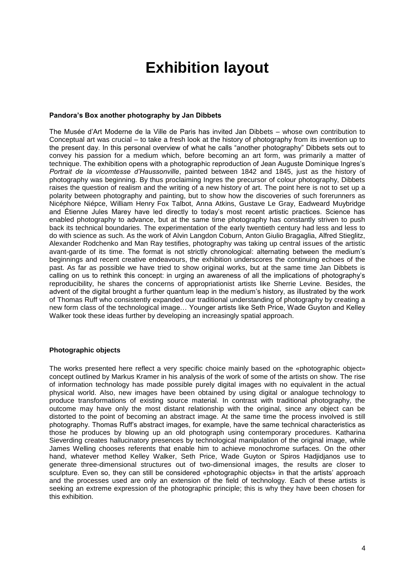## **Exhibition layout**

## **Pandora's Box another photography by Jan Dibbets**

The Musée d'Art Moderne de la Ville de Paris has invited Jan Dibbets – whose own contribution to Conceptual art was crucial – to take a fresh look at the history of photography from its invention up to the present day. In this personal overview of what he calls "another photography" Dibbets sets out to convey his passion for a medium which, before becoming an art form, was primarily a matter of technique. The exhibition opens with a photographic reproduction of Jean Auguste Dominique Ingres's *Portrait de la vicomtesse d'Haussonville*, painted between 1842 and 1845, just as the history of photography was beginning. By thus proclaiming Ingres the precursor of colour photography, Dibbets raises the question of realism and the writing of a new history of art. The point here is not to set up a polarity between photography and painting, but to show how the discoveries of such forerunners as Nicéphore Niépce, William Henry Fox Talbot, Anna Atkins, Gustave Le Gray, Eadweard Muybridge and Étienne Jules Marey have led directly to today's most recent artistic practices. Science has enabled photography to advance, but at the same time photography has constantly striven to push back its technical boundaries. The experimentation of the early twentieth century had less and less to do with science as such. As the work of Alvin Langdon Coburn, Anton Giulio Bragaglia, Alfred Stieglitz, Alexander Rodchenko and Man Ray testifies, photography was taking up central issues of the artistic avant-garde of its time. The format is not strictly chronological: alternating between the medium's beginnings and recent creative endeavours, the exhibition underscores the continuing echoes of the past. As far as possible we have tried to show original works, but at the same time Jan Dibbets is calling on us to rethink this concept: in urging an awareness of all the implications of photography's reproducibility, he shares the concerns of appropriationist artists like Sherrie Levine. Besides, the advent of the digital brought a further quantum leap in the medium's history, as illustrated by the work of Thomas Ruff who consistently expanded our traditional understanding of photography by creating a new form class of the technological image… Younger artists like Seth Price, Wade Guyton and Kelley Walker took these ideas further by developing an increasingly spatial approach.

### **Photographic objects**

The works presented here reflect a very specific choice mainly based on the «photographic object» concept outlined by Markus Kramer in his analysis of the work of some of the artists on show. The rise of information technology has made possible purely digital images with no equivalent in the actual physical world. Also, new images have been obtained by using digital or analogue technology to produce transformations of existing source material. In contrast with traditional photography, the outcome may have only the most distant relationship with the original, since any object can be distorted to the point of becoming an abstract image. At the same time the process involved is still photography. Thomas Ruff's abstract images, for example, have the same technical characteristics as those he produces by blowing up an old photograph using contemporary procedures. Katharina Sieverding creates hallucinatory presences by technological manipulation of the original image, while James Welling chooses referents that enable him to achieve monochrome surfaces. On the other hand, whatever method Kelley Walker, Seth Price, Wade Guyton or Spiros Hadjidjanos use to generate three-dimensional structures out of two-dimensional images, the results are closer to sculpture. Even so, they can still be considered «photographic objects» in that the artists' approach and the processes used are only an extension of the field of technology. Each of these artists is seeking an extreme expression of the photographic principle; this is why they have been chosen for this exhibition.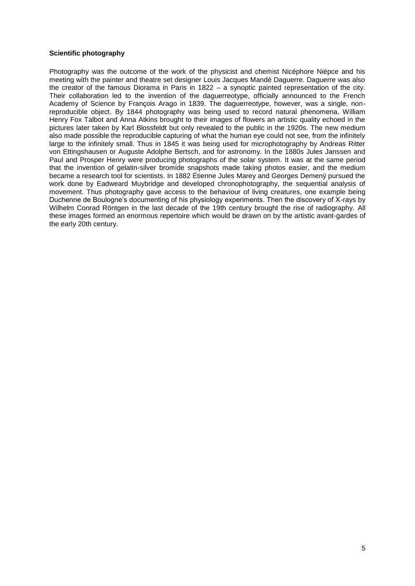## **Scientific photography**

Photography was the outcome of the work of the physicist and chemist Nicéphore Niépce and his meeting with the painter and theatre set designer Louis Jacques Mandé Daguerre. Daguerre was also the creator of the famous Diorama in Paris in 1822 – a synoptic painted representation of the city. Their collaboration led to the invention of the daguerreotype, officially announced to the French Academy of Science by François Arago in 1839. The daguerreotype, however, was a single, nonreproducible object. By 1844 photography was being used to record natural phenomena. William Henry Fox Talbot and Anna Atkins brought to their images of flowers an artistic quality echoed in the pictures later taken by Karl Blossfeldt but only revealed to the public in the 1920s. The new medium also made possible the reproducible capturing of what the human eye could not see, from the infinitely large to the infinitely small. Thus in 1845 it was being used for microphotography by Andreas Ritter von Ettingshausen or Auguste Adolphe Bertsch, and for astronomy. In the 1880s Jules Janssen and Paul and Prosper Henry were producing photographs of the solar system. It was at the same period that the invention of gelatin-silver bromide snapshots made taking photos easier, and the medium became a research tool for scientists. In 1882 Étienne Jules Marey and Georges Demenÿ pursued the work done by Eadweard Muybridge and developed chronophotography, the sequential analysis of movement. Thus photography gave access to the behaviour of living creatures, one example being Duchenne de Boulogne's documenting of his physiology experiments. Then the discovery of X-rays by Wilhelm Conrad Röntgen in the last decade of the 19th century brought the rise of radiography. All these images formed an enormous repertoire which would be drawn on by the artistic avant-gardes of the early 20th century.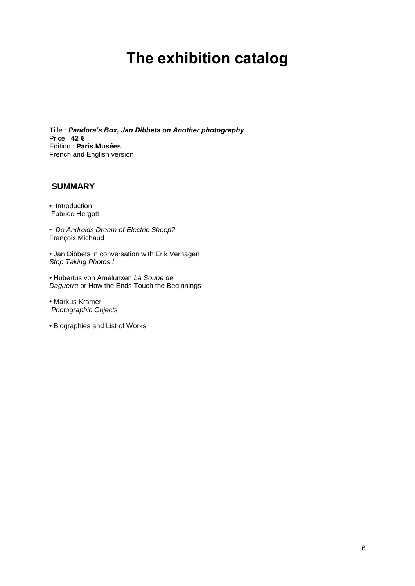# **The exhibition catalog**

Title : *Pandora's Box, Jan Dibbets on Another photography* Price : **42 €** Edition : **Paris Musées** French and English version

## **SUMMARY**

**•** Introduction Fabrice Hergott

**•** *Do Androids Dream of Electric Sheep?* François Michaud

**•** Jan Dibbets in conversation with Erik Verhagen *Stop Taking Photos !*

**•** Hubertus von Amelunxen *La Soupe de Daguerre* or How the Ends Touch the Beginnings

**•** Markus Kramer *Photographic Objects* 

**•** Biographies and List of Works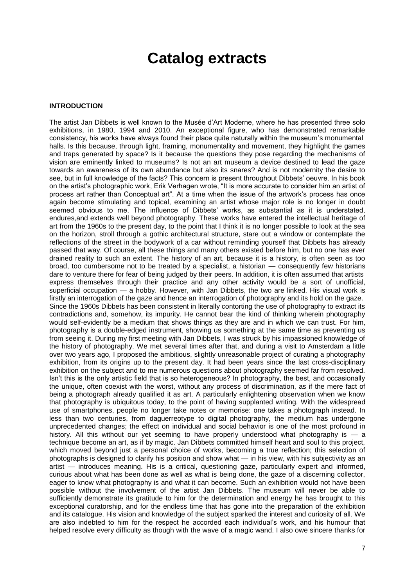## **Catalog extracts**

## **INTRODUCTION**

The artist Jan Dibbets is well known to the Musée d'Art Moderne, where he has presented three solo exhibitions, in 1980, 1994 and 2010. An exceptional figure, who has demonstrated remarkable consistency, his works have always found their place quite naturally within the museum's monumental halls. Is this because, through light, framing, monumentality and movement, they highlight the games and traps generated by space? Is it because the questions they pose regarding the mechanisms of vision are eminently linked to museums? Is not an art museum a device destined to lead the gaze towards an awareness of its own abundance but also its snares? And is not modernity the desire to see, but in full knowledge of the facts? This concern is present throughout Dibbets' oeuvre. In his book on the artist's photographic work, Erik Verhagen wrote, "It is more accurate to consider him an artist of process art rather than Conceptual art". At a time when the issue of the artwork's process has once again become stimulating and topical, examining an artist whose major role is no longer in doubt seemed obvious to me. The influence of Dibbets' works, as substantial as it is understated, endures,and extends well beyond photography. These works have entered the intellectual heritage of art from the 1960s to the present day, to the point that I think it is no longer possible to look at the sea on the horizon, stroll through a gothic architectural structure, stare out a window or contemplate the reflections of the street in the bodywork of a car without reminding yourself that Dibbets has already passed that way. Of course, all these things and many others existed before him, but no one has ever drained reality to such an extent. The history of an art, because it is a history, is often seen as too broad, too cumbersome not to be treated by a specialist, a historian — consequently few historians dare to venture there for fear of being judged by their peers. In addition, it is often assumed that artists express themselves through their practice and any other activity would be a sort of unofficial, superficial occupation — a hobby. However, with Jan Dibbets, the two are linked. His visual work is firstly an interrogation of the gaze and hence an interrogation of photography and its hold on the gaze. Since the 1960s Dibbets has been consistent in literally contorting the use of photography to extract its contradictions and, somehow, its impurity. He cannot bear the kind of thinking wherein photography would self-evidently be a medium that shows things as they are and in which we can trust. For him, photography is a double-edged instrument, showing us something at the same time as preventing us from seeing it. During my first meeting with Jan Dibbets, I was struck by his impassioned knowledge of the history of photography. We met several times after that, and during a visit to Amsterdam a little over two years ago, I proposed the ambitious, slightly unreasonable project of curating a photography exhibition, from its origins up to the present day. It had been years since the last cross-disciplinary exhibition on the subject and to me numerous questions about photography seemed far from resolved. Isn't this is the only artistic field that is so heterogeneous? In photography, the best, and occasionally the unique, often coexist with the worst, without any process of discrimination, as if the mere fact of being a photograph already qualified it as art. A particularly enlightening observation when we know that photography is ubiquitous today, to the point of having supplanted writing. With the widespread use of smartphones, people no longer take notes or memorise: one takes a photograph instead. In less than two centuries, from daguerreotype to digital photography, the medium has undergone unprecedented changes; the effect on individual and social behavior is one of the most profound in history. All this without our yet seeming to have properly understood what photography is — a technique become an art, as if by magic. Jan Dibbets committed himself heart and soul to this project, which moved beyond just a personal choice of works, becoming a true reflection; this selection of photographs is designed to clarify his position and show what — in his view, with his subjectivity as an artist — introduces meaning. His is a critical, questioning gaze, particularly expert and informed, curious about what has been done as well as what is being done, the gaze of a discerning collector, eager to know what photography is and what it can become. Such an exhibition would not have been possible without the involvement of the artist Jan Dibbets. The museum will never be able to sufficiently demonstrate its gratitude to him for the determination and energy he has brought to this exceptional curatorship, and for the endless time that has gone into the preparation of the exhibition and its catalogue. His vision and knowledge of the subject sparked the interest and curiosity of all. We are also indebted to him for the respect he accorded each individual's work, and his humour that helped resolve every difficulty as though with the wave of a magic wand. I also owe sincere thanks for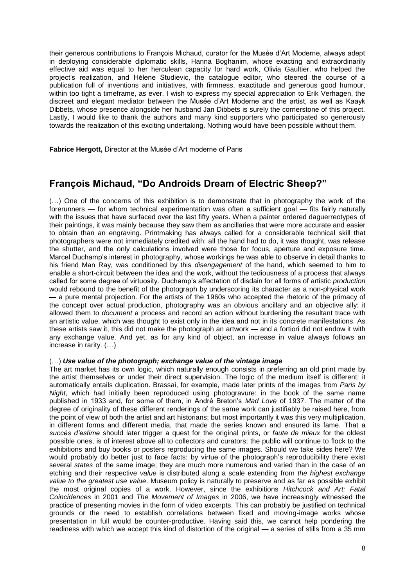their generous contributions to François Michaud, curator for the Musée d'Art Moderne, always adept in deploying considerable diplomatic skills, Hanna Boghanim, whose exacting and extraordinarily effective aid was equal to her herculean capacity for hard work, Olivia Gaultier, who helped the project's realization, and Hélene Studievic, the catalogue editor, who steered the course of a publication full of inventions and initiatives, with firmness, exactitude and generous good humour, within too tight a timeframe, as ever. I wish to express my special appreciation to Erik Verhagen, the discreet and elegant mediator between the Musée d'Art Moderne and the artist, as well as Kaayk Dibbets, whose presence alongside her husband Jan Dibbets is surely the cornerstone of this project. Lastly, I would like to thank the authors and many kind supporters who participated so generously towards the realization of this exciting undertaking. Nothing would have been possible without them.

**Fabrice Hergott,** Director at the Musée d'Art moderne of Paris

## **François Michaud, "Do Androids Dream of Electric Sheep?"**

(…) One of the concerns of this exhibition is to demonstrate that in photography the work of the forerunners — for whom technical experimentation was often a sufficient goal — fits fairly naturally with the issues that have surfaced over the last fifty years. When a painter ordered daguerreotypes of their paintings, it was mainly because they saw them as ancillaries that were more accurate and easier to obtain than an engraving. Printmaking has always called for a considerable technical skill that photographers were not immediately credited with: all the hand had to do, it was thought, was release the shutter, and the only calculations involved were those for focus, aperture and exposure time. Marcel Duchamp's interest in photography, whose workings he was able to observe in detail thanks to his friend Man Ray, was conditioned by this *disengagement* of the hand, which seemed to him to enable a short-circuit between the idea and the work, without the tediousness of a process that always called for some degree of virtuosity. Duchamp's affectation of disdain for all forms of artistic *production*  would rebound to the benefit of the photograph by underscoring its character as a non-physical work — a pure mental projection. For the artists of the 1960s who accepted the rhetoric of the primacy of the concept over actual production, photography was an obvious ancillary and an objective ally: it allowed them to *document* a process and record an action without burdening the resultant trace with an artistic value, which was thought to exist only in the idea and not in its concrete manifestations. As these artists saw it, this did not make the photograph an artwork — and a fortiori did not endow it with any exchange value. And yet, as for any kind of object, an increase in value always follows an increase in rarity. (…)

## (…) *Use value of the photograph; exchange value of the vintage image*

The art market has its own logic, which naturally enough consists in preferring an old print made by the artist themselves or under their direct supervision. The logic of the medium itself is different: it automatically entails duplication. Brassai, for example, made later prints of the images from *Paris by Night*, which had initially been reproduced using photogravure: in the book of the same name published in 1933 and, for some of them, in André Breton's *Mad Love* of 1937. The matter of the degree of originality of these different renderings of the same work can justifiably be raised here, from the point of view of both the artist and art historians; but most importantly it was this very multiplication, in different forms and different media, that made the series known and ensured its fame. That a *succès d'estime* should later trigger a quest for the original prints, or *faute de mieux* for the oldest possible ones, is of interest above all to collectors and curators; the public will continue to flock to the exhibitions and buy books or posters reproducing the same images. Should we take sides here? We would probably do better just to face facts: by virtue of the photograph's reproducibility there exist several *states* of the same image; they are much more numerous and varied than in the case of an etching and their respective *value* is distributed along a scale extending from *the highest exchange value to the greatest use value*. Museum policy is naturally to preserve and as far as possible exhibit the most original copies of a work. However, since the exhibitions *Hitchcock and Art: Fatal Coincidences* in 2001 and *The Movement of Images* in 2006, we have increasingly witnessed the practice of presenting movies in the form of video excerpts. This can probably be justified on technical grounds or the need to establish correlations between fixed and moving-image works whose presentation in full would be counter-productive. Having said this, we cannot help pondering the readiness with which we accept this kind of distortion of the original — a series of stills from a 35 mm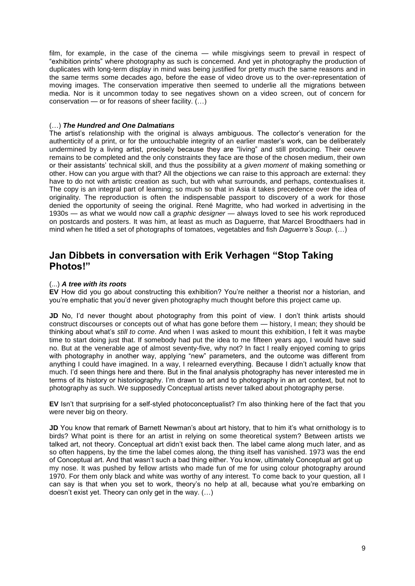film, for example, in the case of the cinema — while misgivings seem to prevail in respect of "exhibition prints" where photography as such is concerned. And yet in photography the production of duplicates with long-term display in mind was being justified for pretty much the same reasons and in the same terms some decades ago, before the ease of video drove us to the over-representation of moving images. The conservation imperative then seemed to underlie all the migrations between media. Nor is it uncommon today to see negatives shown on a video screen, out of concern for conservation — or for reasons of sheer facility. (…)

### (…) *The Hundred and One Dalmatians*

The artist's relationship with the original is always ambiguous. The collector's veneration for the authenticity of a print, or for the untouchable integrity of an earlier master's work, can be deliberately undermined by a living artist, precisely because they are "living" and still producing. Their oeuvre remains to be completed and the only constraints they face are those of the chosen medium, their own or their assistants' technical skill, and thus the possibility at a *given moment* of making something or other. How can you argue with that? All the objections we can raise to this approach are external: they have to do not with artistic creation as such, but with what surrounds, and perhaps, contextualises it. The copy is an integral part of learning; so much so that in Asia it takes precedence over the idea of originality. The reproduction is often the indispensable passport to discovery of a work for those denied the opportunity of seeing the original. René Magritte, who had worked in advertising in the 1930s — as what we would now call a *graphic designer* — always loved to see his work reproduced on postcards and posters. It was him, at least as much as Daguerre, that Marcel Broodthaers had in mind when he titled a set of photographs of tomatoes, vegetables and fish *Daguerre's Soup*. (…)

## **Jan Dibbets in conversation with Erik Verhagen "Stop Taking Photos!"**

## (...) *A tree with its roots*

**EV** How did you go about constructing this exhibition? You're neither a theorist nor a historian, and you're emphatic that you'd never given photography much thought before this project came up.

**JD** No, I'd never thought about photography from this point of view. I don't think artists should construct discourses or concepts out of what has gone before them — history, I mean; they should be thinking about what's *still to come*. And when I was asked to mount this exhibition, I felt it was maybe time to start doing just that. If somebody had put the idea to me fifteen years ago. I would have said no. But at the venerable age of almost seventy-five, why not? In fact I really enjoyed coming to grips with photography in another way, applying "new" parameters, and the outcome was different from anything I could have imagined. In a way, I relearned everything. Because I didn't actually know that much. I'd seen things here and there. But in the final analysis photography has never interested me in terms of its history or historiography. I'm drawn to art and to photography in an art context, but not to photography as such. We supposedly Conceptual artists never talked about photography perse.

**EV** Isn't that surprising for a self-styled photoconceptualist? I'm also thinking here of the fact that you were never big on theory.

**JD** You know that remark of Barnett Newman's about art history, that to him it's what ornithology is to birds? What point is there for an artist in relying on some theoretical system? Between artists we talked art, not theory. Conceptual art didn't exist back then. The label came along much later, and as so often happens, by the time the label comes along, the thing itself has vanished. 1973 was the end of Conceptual art. And that wasn't such a bad thing either. You know, ultimately Conceptual art got up my nose. It was pushed by fellow artists who made fun of me for using colour photography around 1970. For them only black and white was worthy of any interest. To come back to your question, all I can say is that when you set to work, theory's no help at all, because what you're embarking on doesn't exist yet. Theory can only get in the way. (…)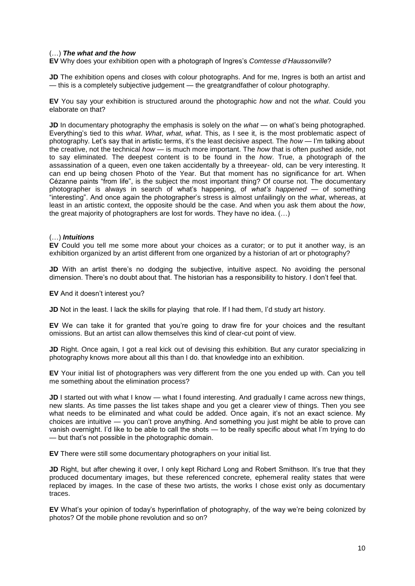## (…) *The what and the how*

**EV** Why does your exhibition open with a photograph of Ingres's *Comtesse d'Haussonville*?

**JD** The exhibition opens and closes with colour photographs. And for me, Ingres is both an artist and — this is a completely subjective judgement — the greatgrandfather of colour photography.

**EV** You say your exhibition is structured around the photographic *how* and not the *what*. Could you elaborate on that?

**JD** In documentary photography the emphasis is solely on the *what* — on what's being photographed. Everything's tied to this *what*. *What*, *what*, *what*. This, as I see it, is the most problematic aspect of photography. Let's say that in artistic terms, it's the least decisive aspect. The *how* — I'm talking about the creative, not the technical *how* — is much more important. The *how* that is often pushed aside, not to say eliminated. The deepest content is to be found in the *how*. True, a photograph of the assassination of a queen, even one taken accidentally by a threeyear- old, can be very interesting. It can end up being chosen Photo of the Year. But that moment has no significance for art. When Cézanne paints "from life", is the subject the most important thing? Of course not. The documentary photographer is always in search of what's happening, of *what's happened* — of something "interesting". And once again the photographer's stress is almost unfailingly on the *what*, whereas, at least in an artistic context, the opposite should be the case. And when you ask them about the *how*, the great majority of photographers are lost for words. They have no idea. (…)

## (…) *Intuitions*

**EV** Could you tell me some more about your choices as a curator; or to put it another way, is an exhibition organized by an artist different from one organized by a historian of art or photography?

**JD** With an artist there's no dodging the subjective, intuitive aspect. No avoiding the personal dimension. There's no doubt about that. The historian has a responsibility to history. I don't feel that.

**EV** And it doesn't interest you?

**JD** Not in the least. I lack the skills for playing that role. If I had them, I'd study art history.

**EV** We can take it for granted that you're going to draw fire for your choices and the resultant omissions. But an artist can allow themselves this kind of clear-cut point of view.

**JD** Right. Once again, I got a real kick out of devising this exhibition. But any curator specializing in photography knows more about all this than I do. that knowledge into an exhibition.

**EV** Your initial list of photographers was very different from the one you ended up with. Can you tell me something about the elimination process?

**JD** I started out with what I know — what I found interesting. And gradually I came across new things, new slants. As time passes the list takes shape and you get a clearer view of things. Then you see what needs to be eliminated and what could be added. Once again, it's not an exact science. My choices are intuitive — you can't prove anything. And something you just might be able to prove can vanish overnight. I'd like to be able to call the shots — to be really specific about what I'm trying to do — but that's not possible in the photographic domain.

**EV** There were still some documentary photographers on your initial list.

**JD** Right, but after chewing it over, I only kept Richard Long and Robert Smithson. It's true that they produced documentary images, but these referenced concrete, ephemeral reality states that were replaced by images. In the case of these two artists, the works I chose exist only as documentary traces.

**EV** What's your opinion of today's hyperinflation of photography, of the way we're being colonized by photos? Of the mobile phone revolution and so on?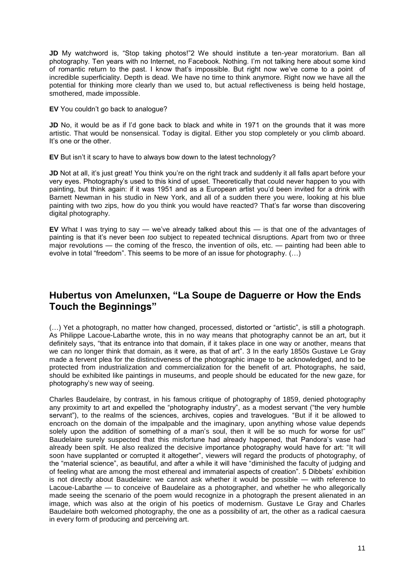JD My watchword is, "Stop taking photos!"2 We should institute a ten-year moratorium. Ban all photography. Ten years with no Internet, no Facebook. Nothing. I'm not talking here about some kind of romantic return to the past. I know that's impossible. But right now we've come to a point of incredible superficiality. Depth is dead. We have no time to think anymore. Right now we have all the potential for thinking more clearly than we used to, but actual reflectiveness is being held hostage, smothered, made impossible.

**EV** You couldn't go back to analogue?

**JD** No, it would be as if I'd gone back to black and white in 1971 on the grounds that it was more artistic. That would be nonsensical. Today is digital. Either you stop completely or you climb aboard. It's one or the other.

**EV** But isn't it scary to have to always bow down to the latest technology?

**JD** Not at all, it's just great! You think you're on the right track and suddenly it all falls apart before your very eyes. Photography's used to this kind of upset. Theoretically that could never happen to you with painting, but think again: if it was 1951 and as a European artist you'd been invited for a drink with Barnett Newman in his studio in New York, and all of a sudden there you were, looking at his blue painting with two zips, how do you think you would have reacted? That's far worse than discovering digital photography.

**EV** What I was trying to say — we've already talked about this — is that one of the advantages of painting is that it's never been *too* subject to repeated technical disruptions. Apart from two or three major revolutions — the coming of the fresco, the invention of oils, etc. — painting had been able to evolve in total "freedom". This seems to be more of an issue for photography. (…)

## **Hubertus von Amelunxen, "La Soupe de Daguerre or How the Ends Touch the Beginnings"**

(…) Yet a photograph, no matter how changed, processed, distorted or "artistic", is still a photograph. As Philippe Lacoue-Labarthe wrote, this in no way means that photography cannot be an art, but it definitely says, "that its entrance into that domain, if it takes place in one way or another, means that we can no longer think that domain, as it were, as that of art". 3 In the early 1850s Gustave Le Gray made a fervent plea for the distinctiveness of the photographic image to be acknowledged, and to be protected from industrialization and commercialization for the benefit of art. Photographs, he said, should be exhibited like paintings in museums, and people should be educated for the new gaze, for photography's new way of seeing.

Charles Baudelaire, by contrast, in his famous critique of photography of 1859, denied photography any proximity to art and expelled the "photography industry", as a modest servant ("the very humble servant"), to the realms of the sciences, archives, copies and travelogues. "But if it be allowed to encroach on the domain of the impalpable and the imaginary, upon anything whose value depends solely upon the addition of something of a man's soul, then it will be so much for worse for us!" Baudelaire surely suspected that this misfortune had already happened, that Pandora's vase had already been spilt. He also realized the decisive importance photography would have for art: "It will soon have supplanted or corrupted it altogether", viewers will regard the products of photography, of the "material science", as beautiful, and after a while it will have "diminished the faculty of judging and of feeling what are among the most ethereal and immaterial aspects of creation". 5 Dibbets' exhibition is not directly about Baudelaire: we cannot ask whether it would be possible — with reference to Lacoue-Labarthe — to conceive of Baudelaire as a photographer, and whether he who allegorically made seeing the scenario of the poem would recognize in a photograph the present alienated in an image, which was also at the origin of his poetics of modernism. Gustave Le Gray and Charles Baudelaire both welcomed photography, the one as a possibility of art, the other as a radical caesura in every form of producing and perceiving art.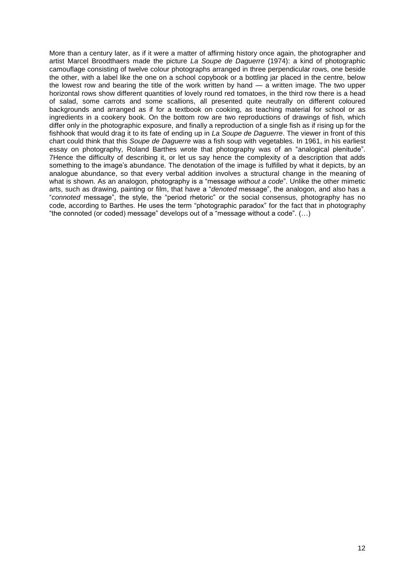More than a century later, as if it were a matter of affirming history once again, the photographer and artist Marcel Broodthaers made the picture *La Soupe de Daguerre* (1974): a kind of photographic camouflage consisting of twelve colour photographs arranged in three perpendicular rows, one beside the other, with a label like the one on a school copybook or a bottling jar placed in the centre, below the lowest row and bearing the title of the work written by hand — a written image. The two upper horizontal rows show different quantities of lovely round red tomatoes, in the third row there is a head of salad, some carrots and some scallions, all presented quite neutrally on different coloured backgrounds and arranged as if for a textbook on cooking, as teaching material for school or as ingredients in a cookery book. On the bottom row are two reproductions of drawings of fish, which differ only in the photographic exposure, and finally a reproduction of a single fish as if rising up for the fishhook that would drag it to its fate of ending up in *La Soupe de Daguerre*. The viewer in front of this chart could think that this *Soupe de Daguerre* was a fish soup with vegetables. In 1961, in his earliest essay on photography, Roland Barthes wrote that photography was of an "analogical plenitude". 7Hence the difficulty of describing it, or let us say hence the complexity of a description that adds something to the image's abundance. The denotation of the image is fulfilled by what it depicts, by an analogue abundance, so that every verbal addition involves a structural change in the meaning of what is shown. As an analogon, photography is a "message *without a code*". Unlike the other mimetic arts, such as drawing, painting or film, that have a "*denoted* message", the analogon, and also has a "*connoted* message", the style, the "period rhetoric" or the social consensus, photography has no code, according to Barthes. He uses the term "photographic paradox" for the fact that in photography "the connoted (or coded) message" develops out of a "message without a code". (…)